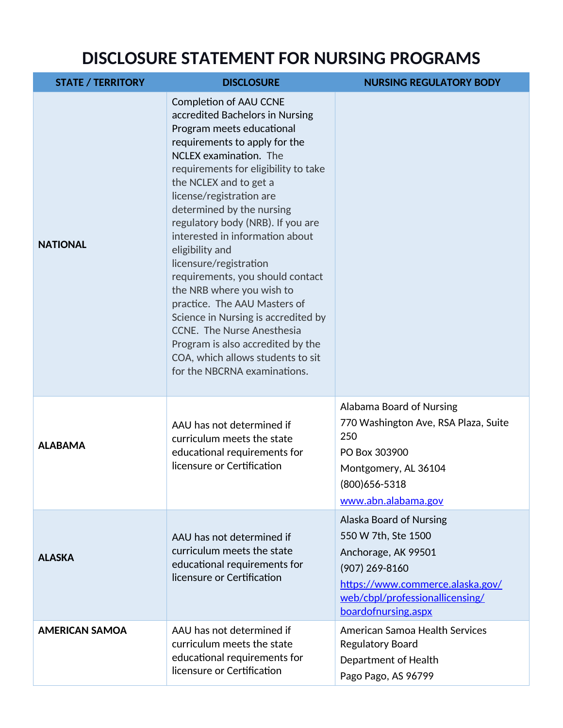## **DISCLOSURE STATEMENT FOR NURSING PROGRAMS**

| <b>STATE / TERRITORY</b> | <b>DISCLOSURE</b>                                                                                                                                                                                                                                                                                                                                                                                                                                                                                                                                                                                                                                                                        | <b>NURSING REGULATORY BODY</b>                                                                                                                                                          |
|--------------------------|------------------------------------------------------------------------------------------------------------------------------------------------------------------------------------------------------------------------------------------------------------------------------------------------------------------------------------------------------------------------------------------------------------------------------------------------------------------------------------------------------------------------------------------------------------------------------------------------------------------------------------------------------------------------------------------|-----------------------------------------------------------------------------------------------------------------------------------------------------------------------------------------|
| <b>NATIONAL</b>          | <b>Completion of AAU CCNE</b><br>accredited Bachelors in Nursing<br>Program meets educational<br>requirements to apply for the<br>NCLEX examination. The<br>requirements for eligibility to take<br>the NCLEX and to get a<br>license/registration are<br>determined by the nursing<br>regulatory body (NRB). If you are<br>interested in information about<br>eligibility and<br>licensure/registration<br>requirements, you should contact<br>the NRB where you wish to<br>practice. The AAU Masters of<br>Science in Nursing is accredited by<br>CCNE. The Nurse Anesthesia<br>Program is also accredited by the<br>COA, which allows students to sit<br>for the NBCRNA examinations. |                                                                                                                                                                                         |
| <b>ALABAMA</b>           | AAU has not determined if<br>curriculum meets the state<br>educational requirements for<br>licensure or Certification                                                                                                                                                                                                                                                                                                                                                                                                                                                                                                                                                                    | Alabama Board of Nursing<br>770 Washington Ave, RSA Plaza, Suite<br>250<br>PO Box 303900<br>Montgomery, AL 36104<br>(800) 656-5318<br>www.abn.alabama.gov                               |
| <b>ALASKA</b>            | AAU has not determined if<br>curriculum meets the state<br>educational requirements for<br>licensure or Certification                                                                                                                                                                                                                                                                                                                                                                                                                                                                                                                                                                    | Alaska Board of Nursing<br>550 W 7th, Ste 1500<br>Anchorage, AK 99501<br>$(907)$ 269-8160<br>https://www.commerce.alaska.gov/<br>web/cbpl/professionallicensing/<br>boardofnursing.aspx |
| <b>AMERICAN SAMOA</b>    | AAU has not determined if<br>curriculum meets the state<br>educational requirements for<br>licensure or Certification                                                                                                                                                                                                                                                                                                                                                                                                                                                                                                                                                                    | American Samoa Health Services<br><b>Regulatory Board</b><br>Department of Health<br>Pago Pago, AS 96799                                                                                |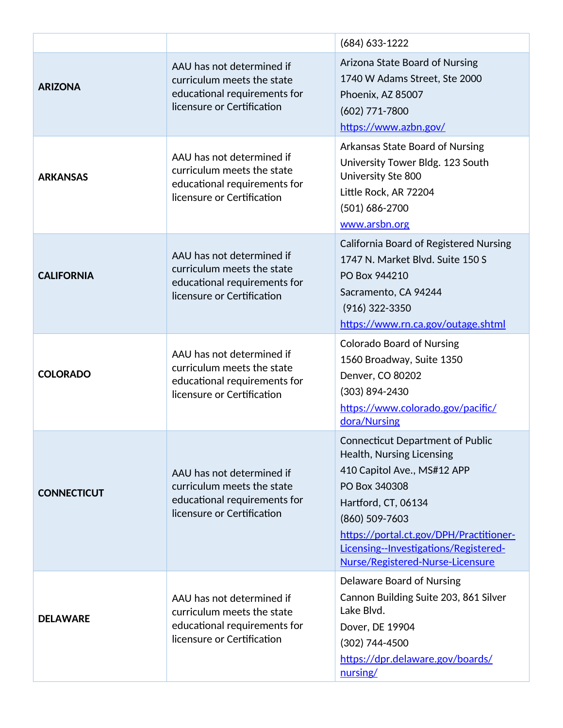|                    |                                                                                                                       | (684) 633-1222                                                                                                                                                                                                                                                                        |
|--------------------|-----------------------------------------------------------------------------------------------------------------------|---------------------------------------------------------------------------------------------------------------------------------------------------------------------------------------------------------------------------------------------------------------------------------------|
| <b>ARIZONA</b>     | AAU has not determined if<br>curriculum meets the state<br>educational requirements for<br>licensure or Certification | Arizona State Board of Nursing<br>1740 W Adams Street, Ste 2000<br>Phoenix, AZ 85007<br>$(602)$ 771-7800<br>https://www.azbn.gov/                                                                                                                                                     |
| <b>ARKANSAS</b>    | AAU has not determined if<br>curriculum meets the state<br>educational requirements for<br>licensure or Certification | Arkansas State Board of Nursing<br>University Tower Bldg. 123 South<br>University Ste 800<br>Little Rock, AR 72204<br>(501) 686-2700<br>www.arsbn.org                                                                                                                                 |
| <b>CALIFORNIA</b>  | AAU has not determined if<br>curriculum meets the state<br>educational requirements for<br>licensure or Certification | <b>California Board of Registered Nursing</b><br>1747 N. Market Blvd. Suite 150 S<br>PO Box 944210<br>Sacramento, CA 94244<br>(916) 322-3350<br>https://www.rn.ca.gov/outage.shtml                                                                                                    |
| <b>COLORADO</b>    | AAU has not determined if<br>curriculum meets the state<br>educational requirements for<br>licensure or Certification | <b>Colorado Board of Nursing</b><br>1560 Broadway, Suite 1350<br>Denver, CO 80202<br>(303) 894-2430<br>https://www.colorado.gov/pacific/<br>dora/Nursing                                                                                                                              |
| <b>CONNECTICUT</b> | AAU has not determined if<br>curriculum meets the state<br>educational requirements for<br>licensure or Certification | <b>Connecticut Department of Public</b><br>Health, Nursing Licensing<br>410 Capitol Ave., MS#12 APP<br>PO Box 340308<br>Hartford, CT, 06134<br>(860) 509-7603<br>https://portal.ct.gov/DPH/Practitioner-<br>Licensing--Investigations/Registered-<br>Nurse/Registered-Nurse-Licensure |
| <b>DELAWARE</b>    | AAU has not determined if<br>curriculum meets the state<br>educational requirements for<br>licensure or Certification | Delaware Board of Nursing<br>Cannon Building Suite 203, 861 Silver<br>Lake Blvd.<br>Dover, DE 19904<br>(302) 744-4500<br>https://dpr.delaware.gov/boards/<br>nursing/                                                                                                                 |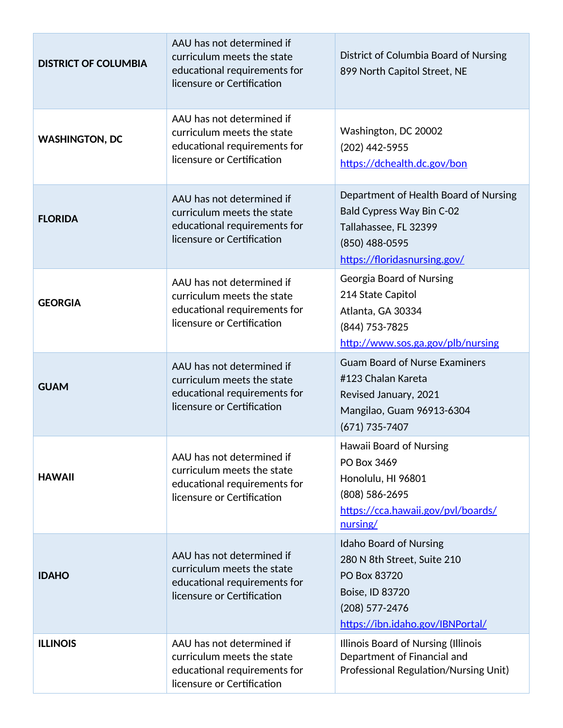| <b>DISTRICT OF COLUMBIA</b> | AAU has not determined if<br>curriculum meets the state<br>educational requirements for<br>licensure or Certification | District of Columbia Board of Nursing<br>899 North Capitol Street, NE                                                                                   |
|-----------------------------|-----------------------------------------------------------------------------------------------------------------------|---------------------------------------------------------------------------------------------------------------------------------------------------------|
| <b>WASHINGTON, DC</b>       | AAU has not determined if<br>curriculum meets the state<br>educational requirements for<br>licensure or Certification | Washington, DC 20002<br>(202) 442-5955<br>https://dchealth.dc.gov/bon                                                                                   |
| <b>FLORIDA</b>              | AAU has not determined if<br>curriculum meets the state<br>educational requirements for<br>licensure or Certification | Department of Health Board of Nursing<br><b>Bald Cypress Way Bin C-02</b><br>Tallahassee, FL 32399<br>(850) 488-0595<br>https://floridasnursing.gov/    |
| <b>GEORGIA</b>              | AAU has not determined if<br>curriculum meets the state<br>educational requirements for<br>licensure or Certification | Georgia Board of Nursing<br>214 State Capitol<br>Atlanta, GA 30334<br>(844) 753-7825<br>http://www.sos.ga.gov/plb/nursing                               |
| <b>GUAM</b>                 | AAU has not determined if<br>curriculum meets the state<br>educational requirements for<br>licensure or Certification | <b>Guam Board of Nurse Examiners</b><br>#123 Chalan Kareta<br>Revised January, 2021<br>Mangilao, Guam 96913-6304<br>$(671) 735 - 7407$                  |
| <b>HAWAII</b>               | AAU has not determined if<br>curriculum meets the state<br>educational requirements for<br>licensure or Certification | Hawaii Board of Nursing<br>PO Box 3469<br>Honolulu, HI 96801<br>(808) 586-2695<br>https://cca.hawaii.gov/pvl/boards/<br>nursing/                        |
| <b>IDAHO</b>                | AAU has not determined if<br>curriculum meets the state<br>educational requirements for<br>licensure or Certification | <b>Idaho Board of Nursing</b><br>280 N 8th Street, Suite 210<br>PO Box 83720<br>Boise, ID 83720<br>$(208)$ 577-2476<br>https://ibn.idaho.gov/IBNPortal/ |
| <b>ILLINOIS</b>             | AAU has not determined if<br>curriculum meets the state<br>educational requirements for<br>licensure or Certification | Illinois Board of Nursing (Illinois<br>Department of Financial and<br>Professional Regulation/Nursing Unit)                                             |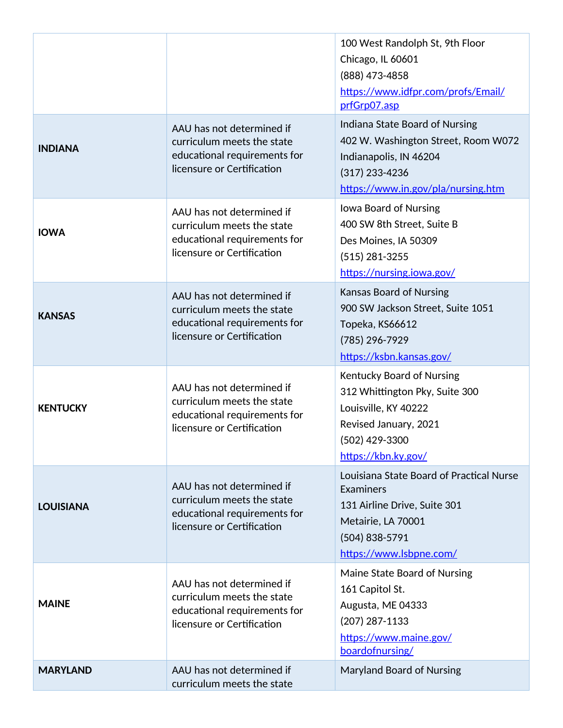|                  |                                                                                                                       | 100 West Randolph St, 9th Floor<br>Chicago, IL 60601<br>(888) 473-4858<br>https://www.idfpr.com/profs/Email/<br>prfGrp07.asp                              |
|------------------|-----------------------------------------------------------------------------------------------------------------------|-----------------------------------------------------------------------------------------------------------------------------------------------------------|
| <b>INDIANA</b>   | AAU has not determined if<br>curriculum meets the state<br>educational requirements for<br>licensure or Certification | Indiana State Board of Nursing<br>402 W. Washington Street, Room W072<br>Indianapolis, IN 46204<br>$(317)$ 233-4236<br>https://www.in.gov/pla/nursing.htm |
| <b>IOWA</b>      | AAU has not determined if<br>curriculum meets the state<br>educational requirements for<br>licensure or Certification | Iowa Board of Nursing<br>400 SW 8th Street, Suite B<br>Des Moines, IA 50309<br>$(515)$ 281-3255<br>https://nursing.iowa.gov/                              |
| <b>KANSAS</b>    | AAU has not determined if<br>curriculum meets the state<br>educational requirements for<br>licensure or Certification | <b>Kansas Board of Nursing</b><br>900 SW Jackson Street, Suite 1051<br>Topeka, KS66612<br>(785) 296-7929<br>https://ksbn.kansas.gov/                      |
| <b>KENTUCKY</b>  | AAU has not determined if<br>curriculum meets the state<br>educational requirements for<br>licensure or Certification | Kentucky Board of Nursing<br>312 Whittington Pky, Suite 300<br>Louisville, KY 40222<br>Revised January, 2021<br>(502) 429-3300<br>https://kbn.ky.gov/     |
| <b>LOUISIANA</b> | AAU has not determined if<br>curriculum meets the state<br>educational requirements for<br>licensure or Certification | Louisiana State Board of Practical Nurse<br>Examiners<br>131 Airline Drive, Suite 301<br>Metairie, LA 70001<br>(504) 838-5791<br>https://www.lsbpne.com/  |
| <b>MAINE</b>     | AAU has not determined if<br>curriculum meets the state<br>educational requirements for<br>licensure or Certification | Maine State Board of Nursing<br>161 Capitol St.<br>Augusta, ME 04333<br>$(207)$ 287-1133<br>https://www.maine.gov/<br>boardofnursing/                     |
| <b>MARYLAND</b>  | AAU has not determined if<br>curriculum meets the state                                                               | <b>Maryland Board of Nursing</b>                                                                                                                          |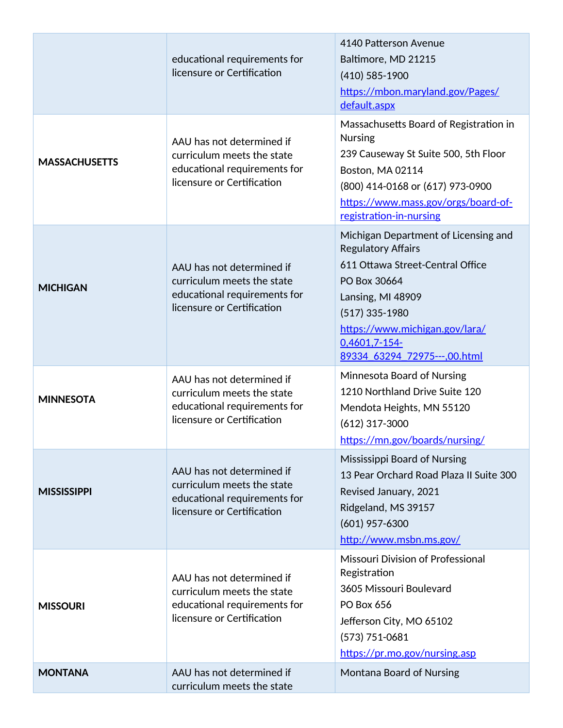|                      | educational requirements for<br>licensure or Certification                                                            | 4140 Patterson Avenue<br>Baltimore, MD 21215<br>$(410) 585 - 1900$<br>https://mbon.maryland.gov/Pages/<br>default.aspx                                                                                                                            |
|----------------------|-----------------------------------------------------------------------------------------------------------------------|---------------------------------------------------------------------------------------------------------------------------------------------------------------------------------------------------------------------------------------------------|
| <b>MASSACHUSETTS</b> | AAU has not determined if<br>curriculum meets the state<br>educational requirements for<br>licensure or Certification | Massachusetts Board of Registration in<br><b>Nursing</b><br>239 Causeway St Suite 500, 5th Floor<br>Boston, MA 02114<br>(800) 414-0168 or (617) 973-0900<br>https://www.mass.gov/orgs/board-of-<br>registration-in-nursing                        |
| <b>MICHIGAN</b>      | AAU has not determined if<br>curriculum meets the state<br>educational requirements for<br>licensure or Certification | Michigan Department of Licensing and<br><b>Regulatory Affairs</b><br>611 Ottawa Street-Central Office<br>PO Box 30664<br>Lansing, MI 48909<br>$(517)$ 335-1980<br>https://www.michigan.gov/lara/<br>0,4601,7-154-<br>89334 63294 72975---,00.html |
| <b>MINNESOTA</b>     | AAU has not determined if<br>curriculum meets the state<br>educational requirements for<br>licensure or Certification | Minnesota Board of Nursing<br>1210 Northland Drive Suite 120<br>Mendota Heights, MN 55120<br>$(612)$ 317-3000<br>https://mn.gov/boards/nursing/                                                                                                   |
| <b>MISSISSIPPI</b>   | AAU has not determined if<br>curriculum meets the state<br>educational requirements for<br>licensure or Certification | Mississippi Board of Nursing<br>13 Pear Orchard Road Plaza II Suite 300<br>Revised January, 2021<br>Ridgeland, MS 39157<br>$(601)$ 957-6300<br>http://www.msbn.ms.gov/                                                                            |
| <b>MISSOURI</b>      | AAU has not determined if<br>curriculum meets the state<br>educational requirements for<br>licensure or Certification | Missouri Division of Professional<br>Registration<br>3605 Missouri Boulevard<br>PO Box 656<br>Jefferson City, MO 65102<br>$(573) 751 - 0681$<br>https://pr.mo.gov/nursing.asp                                                                     |
| <b>MONTANA</b>       | AAU has not determined if<br>curriculum meets the state                                                               | Montana Board of Nursing                                                                                                                                                                                                                          |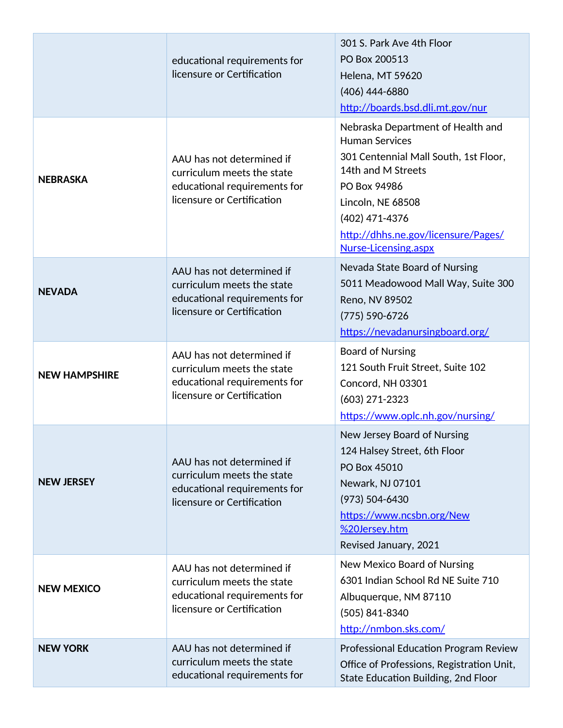|                      | educational requirements for<br>licensure or Certification                                                            | 301 S. Park Ave 4th Floor<br>PO Box 200513<br>Helena, MT 59620<br>(406) 444-6880<br>http://boards.bsd.dli.mt.gov/nur                                                                                                                            |
|----------------------|-----------------------------------------------------------------------------------------------------------------------|-------------------------------------------------------------------------------------------------------------------------------------------------------------------------------------------------------------------------------------------------|
| <b>NEBRASKA</b>      | AAU has not determined if<br>curriculum meets the state<br>educational requirements for<br>licensure or Certification | Nebraska Department of Health and<br><b>Human Services</b><br>301 Centennial Mall South, 1st Floor,<br>14th and M Streets<br>PO Box 94986<br>Lincoln, NE 68508<br>(402) 471-4376<br>http://dhhs.ne.gov/licensure/Pages/<br>Nurse-Licensing.aspx |
| <b>NEVADA</b>        | AAU has not determined if<br>curriculum meets the state<br>educational requirements for<br>licensure or Certification | Nevada State Board of Nursing<br>5011 Meadowood Mall Way, Suite 300<br>Reno, NV 89502<br>$(775) 590 - 6726$<br>https://nevadanursingboard.org/                                                                                                  |
| <b>NEW HAMPSHIRE</b> | AAU has not determined if<br>curriculum meets the state<br>educational requirements for<br>licensure or Certification | <b>Board of Nursing</b><br>121 South Fruit Street, Suite 102<br>Concord, NH 03301<br>$(603)$ 271-2323<br>https://www.oplc.nh.gov/nursing/                                                                                                       |
| <b>NEW JERSEY</b>    | AAU has not determined if<br>curriculum meets the state<br>educational requirements for<br>licensure or Certification | New Jersey Board of Nursing<br>124 Halsey Street, 6th Floor<br>PO Box 45010<br>Newark, NJ 07101<br>$(973) 504 - 6430$<br>https://www.ncsbn.org/New<br>%20Jersey.htm<br>Revised January, 2021                                                    |
| <b>NEW MEXICO</b>    | AAU has not determined if<br>curriculum meets the state<br>educational requirements for<br>licensure or Certification | New Mexico Board of Nursing<br>6301 Indian School Rd NE Suite 710<br>Albuquerque, NM 87110<br>(505) 841-8340<br>http://nmbon.sks.com/                                                                                                           |
| <b>NEW YORK</b>      | AAU has not determined if<br>curriculum meets the state<br>educational requirements for                               | <b>Professional Education Program Review</b><br>Office of Professions, Registration Unit,<br>State Education Building, 2nd Floor                                                                                                                |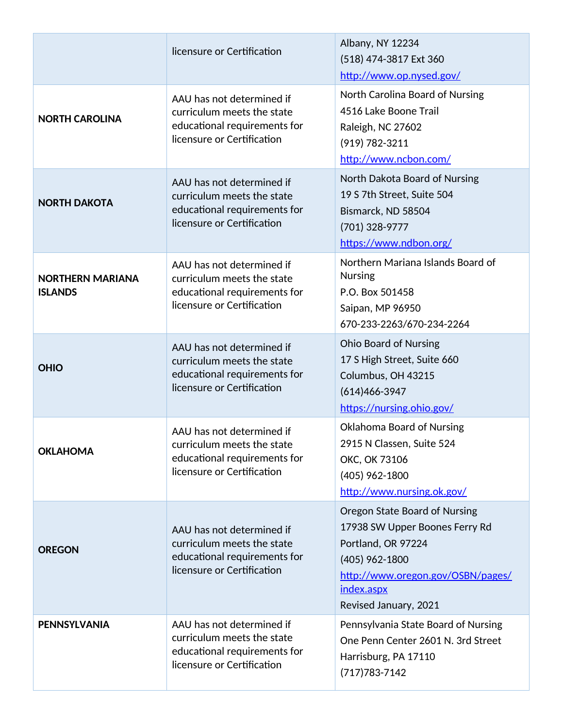|                                           | licensure or Certification                                                                                            | Albany, NY 12234<br>(518) 474-3817 Ext 360<br>http://www.op.nysed.gov/                                                                                                                |
|-------------------------------------------|-----------------------------------------------------------------------------------------------------------------------|---------------------------------------------------------------------------------------------------------------------------------------------------------------------------------------|
| <b>NORTH CAROLINA</b>                     | AAU has not determined if<br>curriculum meets the state<br>educational requirements for<br>licensure or Certification | North Carolina Board of Nursing<br>4516 Lake Boone Trail<br>Raleigh, NC 27602<br>$(919) 782 - 3211$<br>http://www.ncbon.com/                                                          |
| <b>NORTH DAKOTA</b>                       | AAU has not determined if<br>curriculum meets the state<br>educational requirements for<br>licensure or Certification | North Dakota Board of Nursing<br>19 S 7th Street, Suite 504<br>Bismarck, ND 58504<br>(701) 328-9777<br>https://www.ndbon.org/                                                         |
| <b>NORTHERN MARIANA</b><br><b>ISLANDS</b> | AAU has not determined if<br>curriculum meets the state<br>educational requirements for<br>licensure or Certification | Northern Mariana Islands Board of<br><b>Nursing</b><br>P.O. Box 501458<br>Saipan, MP 96950<br>670-233-2263/670-234-2264                                                               |
| <b>OHIO</b>                               | AAU has not determined if<br>curriculum meets the state<br>educational requirements for<br>licensure or Certification | <b>Ohio Board of Nursing</b><br>17 S High Street, Suite 660<br>Columbus, OH 43215<br>$(614)466 - 3947$<br>https://nursing.ohio.gov/                                                   |
| <b>OKLAHOMA</b>                           | AAU has not determined if<br>curriculum meets the state<br>educational requirements for<br>licensure or Certification | <b>Oklahoma Board of Nursing</b><br>2915 N Classen, Suite 524<br>OKC, OK 73106<br>(405) 962-1800<br>http://www.nursing.ok.gov/                                                        |
| <b>OREGON</b>                             | AAU has not determined if<br>curriculum meets the state<br>educational requirements for<br>licensure or Certification | Oregon State Board of Nursing<br>17938 SW Upper Boones Ferry Rd<br>Portland, OR 97224<br>$(405)$ 962-1800<br>http://www.oregon.gov/OSBN/pages/<br>index.aspx<br>Revised January, 2021 |
| <b>PENNSYLVANIA</b>                       | AAU has not determined if<br>curriculum meets the state<br>educational requirements for<br>licensure or Certification | Pennsylvania State Board of Nursing<br>One Penn Center 2601 N. 3rd Street<br>Harrisburg, PA 17110<br>$(717)783 - 7142$                                                                |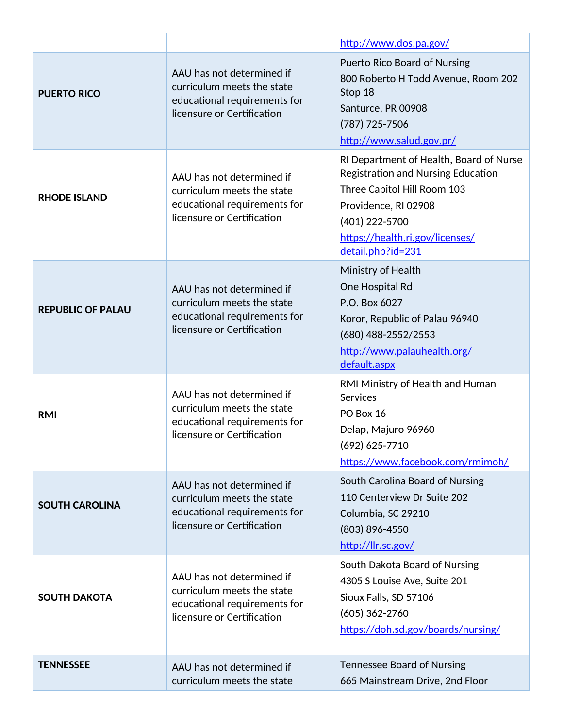|                          |                                                                                                                       | http://www.dos.pa.gov/                                                                                                                                                                                                |
|--------------------------|-----------------------------------------------------------------------------------------------------------------------|-----------------------------------------------------------------------------------------------------------------------------------------------------------------------------------------------------------------------|
| <b>PUERTO RICO</b>       | AAU has not determined if<br>curriculum meets the state<br>educational requirements for<br>licensure or Certification | <b>Puerto Rico Board of Nursing</b><br>800 Roberto H Todd Avenue, Room 202<br>Stop 18<br>Santurce, PR 00908<br>(787) 725-7506<br>http://www.salud.gov.pr/                                                             |
| <b>RHODE ISLAND</b>      | AAU has not determined if<br>curriculum meets the state<br>educational requirements for<br>licensure or Certification | RI Department of Health, Board of Nurse<br><b>Registration and Nursing Education</b><br>Three Capitol Hill Room 103<br>Providence, RI 02908<br>(401) 222-5700<br>https://health.ri.gov/licenses/<br>detail.php?id=231 |
| <b>REPUBLIC OF PALAU</b> | AAU has not determined if<br>curriculum meets the state<br>educational requirements for<br>licensure or Certification | Ministry of Health<br>One Hospital Rd<br>P.O. Box 6027<br>Koror, Republic of Palau 96940<br>(680) 488-2552/2553<br>http://www.palauhealth.org/<br>default.aspx                                                        |
| <b>RMI</b>               | AAU has not determined if<br>curriculum meets the state<br>educational requirements for<br>licensure or Certification | RMI Ministry of Health and Human<br><b>Services</b><br>PO Box 16<br>Delap, Majuro 96960<br>(692) 625-7710<br>https://www.facebook.com/rmimoh/                                                                         |
| <b>SOUTH CAROLINA</b>    | AAU has not determined if<br>curriculum meets the state<br>educational requirements for<br>licensure or Certification | South Carolina Board of Nursing<br>110 Centerview Dr Suite 202<br>Columbia, SC 29210<br>(803) 896-4550<br>http://llr.sc.gov/                                                                                          |
| <b>SOUTH DAKOTA</b>      | AAU has not determined if<br>curriculum meets the state<br>educational requirements for<br>licensure or Certification | South Dakota Board of Nursing<br>4305 S Louise Ave, Suite 201<br>Sioux Falls, SD 57106<br>$(605)$ 362-2760<br>https://doh.sd.gov/boards/nursing/                                                                      |
| <b>TENNESSEE</b>         | AAU has not determined if<br>curriculum meets the state                                                               | <b>Tennessee Board of Nursing</b><br>665 Mainstream Drive, 2nd Floor                                                                                                                                                  |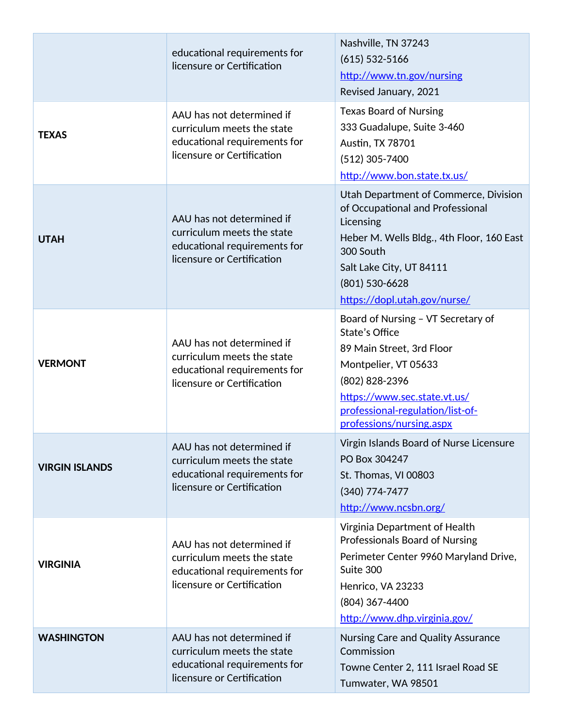|                       | educational requirements for<br>licensure or Certification                                                            | Nashville, TN 37243<br>$(615)$ 532-5166<br>http://www.tn.gov/nursing<br>Revised January, 2021                                                                                                                                  |
|-----------------------|-----------------------------------------------------------------------------------------------------------------------|--------------------------------------------------------------------------------------------------------------------------------------------------------------------------------------------------------------------------------|
| <b>TEXAS</b>          | AAU has not determined if<br>curriculum meets the state<br>educational requirements for<br>licensure or Certification | <b>Texas Board of Nursing</b><br>333 Guadalupe, Suite 3-460<br>Austin, TX 78701<br>$(512)$ 305-7400<br>http://www.bon.state.tx.us/                                                                                             |
| <b>UTAH</b>           | AAU has not determined if<br>curriculum meets the state<br>educational requirements for<br>licensure or Certification | Utah Department of Commerce, Division<br>of Occupational and Professional<br>Licensing<br>Heber M. Wells Bldg., 4th Floor, 160 East<br>300 South<br>Salt Lake City, UT 84111<br>(801) 530-6628<br>https://dopl.utah.gov/nurse/ |
| <b>VERMONT</b>        | AAU has not determined if<br>curriculum meets the state<br>educational requirements for<br>licensure or Certification | Board of Nursing - VT Secretary of<br>State's Office<br>89 Main Street, 3rd Floor<br>Montpelier, VT 05633<br>(802) 828-2396<br>https://www.sec.state.vt.us/<br>professional-regulation/list-of-<br>professions/nursing.aspx    |
| <b>VIRGIN ISLANDS</b> | AAU has not determined if<br>curriculum meets the state<br>educational requirements for<br>licensure or Certification | Virgin Islands Board of Nurse Licensure<br>PO Box 304247<br>St. Thomas, VI 00803<br>$(340)$ 774-7477<br>http://www.ncsbn.org/                                                                                                  |
| <b>VIRGINIA</b>       | AAU has not determined if<br>curriculum meets the state<br>educational requirements for<br>licensure or Certification | Virginia Department of Health<br><b>Professionals Board of Nursing</b><br>Perimeter Center 9960 Maryland Drive,<br>Suite 300<br>Henrico, VA 23233<br>(804) 367-4400<br>http://www.dhp.virginia.gov/                            |
| <b>WASHINGTON</b>     | AAU has not determined if<br>curriculum meets the state<br>educational requirements for<br>licensure or Certification | Nursing Care and Quality Assurance<br>Commission<br>Towne Center 2, 111 Israel Road SE<br>Tumwater, WA 98501                                                                                                                   |